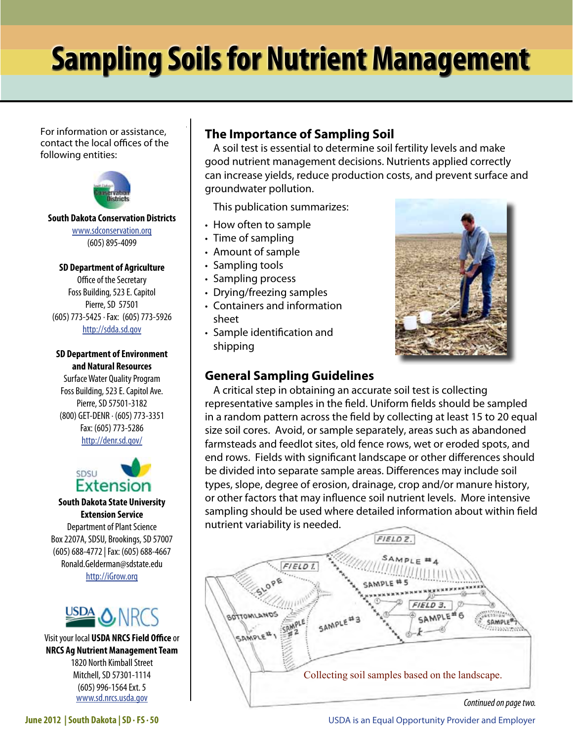# **Sampling Soils for Nutrient Management**

For information or assistance, contact the local offices of the following entities:



**South Dakota Conservation Districts**

[www.sdconservation.org](http://www.sdconservation.org) (605) 895-4099

(605) 773-5425 ∙ Fax: (605) 773-5926 | sheet **SD Department of Agriculture** Office of the Secretary Foss Building, 523 E. Capitol Pierre, SD 57501 <http://sdda.sd.gov>

Management **SD Department of Environment and Natural Resources**

Foss Building, 523 E. Capitol Ave. **All Arms** Pierre, SD 57501-3182 (800) GET-DENR ∙ (605) 773-3351 in<br>Pov: (605) 773-5396 <http://denr.sd.gov/> Surface Water Quality Program Fax: (605) 773-5286



#### **South Dakota State University Extension Service**

Department of Plant Science **Fig. 1** Put**rient** N Box 2207A, SDSU, Brookings, SD 57007 A critical step in Ronald.Gelderman@sdstate.edu ochderman@sastate.caa<br>http://iGrow.org  $rac{1}{\sqrt{2}}$ (605) 688-4772 | Fax: (605) 688-4667



**Visit your local USDA NRCS Field Office** or  $\sum_{i=1}^{n}$ iiciu viiite  $\frac{n}{n}$ **NRCS Ag Nutrient Management Team** 1820 North Kimball Street<br>14<sup>2</sup> **to 20 equal size** Mitchell, SD 57301-1114 د .uo +co- -500 cores.<br>[www.sd.nrcs.usda.gov](http://www.sd.nrcs.usda.gov) (605) 996-1564 Ext. 5

### **The Importance of Sampling Soil**

can increase yields, reduce production costs, and prevent surface and A soil test is essential to determine soil fertility levels and make good nutrient management decisions. Nutrients applied correctly groundwater pollution.

This publication summarizes:

- Sampling This publication summarizes:<br>Servation or Sample 1996 . How often to sample
	- Time of sampling
- 95-4099 Ilme of sampling<br>• Amount of sample
	- Sampling tools
- **The Importance of Sampling Cools**<br>e Secretary **Cools** Cooler Sampling process
	- 23 E. Capitol  $\vert\ \cdot$  Drying/freezing samples
	- 57501 Containers and information sheet
	- $\frac{a \cdot sd \cdot go \vee}{\cdot}$  Sample identification and  $\epsilon$  and  $\epsilon$  is a shipping

# This publication summarizes: degree of erosion, drainage, crop and/or manure **General Sampling Guidelines**



be divided into separate sample areas. Differences may include soil Containers and information sheet *South Dakota.*" or other factors that may influence soil nutrient levels. More intensive Service **Supplimess** and sampling should be used where detailed information about within field history, or other factors that may influence soil A critical step in obtaining an accurate soil test is collecting More intensive should be sampled in a random pattern across the field by collecting at least 15 to 20 equal<br>intervals size soil cores. Avoid, or sample separately, areas such as abandoned farmsteads and feedlot sites, old fence rows, wet or eroded spots, and end rows. Fields with significant landscape or other differences should types, slope, degree of erosion, drainage, crop and/or manure history, representative samples in the field. Uniform fields should be sampled nutrient variability is needed.

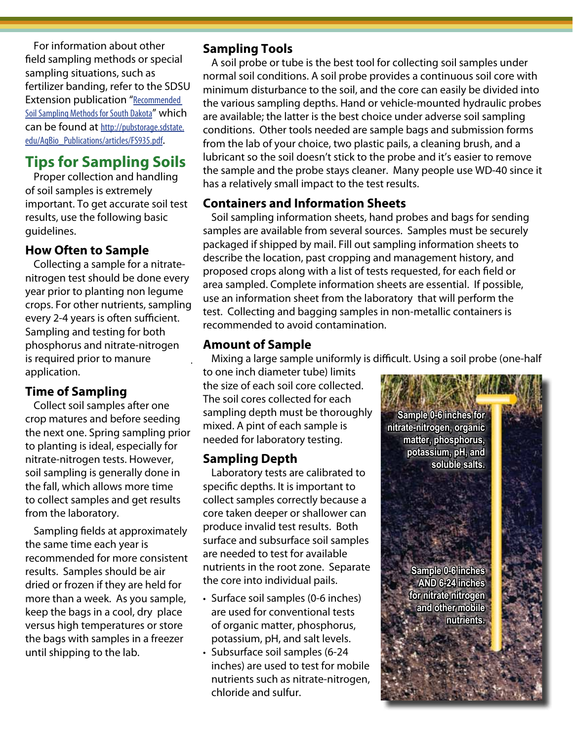For information about other field sampling methods or special sampling situations, such as fertilizer banding, refer to the SDSU Extension publication "Recommended [Soil Sampling Methods for South Dakota](http://pubstorage.sdstate.edu/AgBio_Publications/articles/FS935.pdf)" which can be found at http://pubstorage.sdstate. edu/AgBio\_Publications/articles/FS935.pdf.

## **Tips for Sampling Soils**

Proper collection and handling of soil samples is extremely important. To get accurate soil test results, use the following basic guidelines.

#### **How Often to Sample**

Collecting a sample for a nitratenitrogen test should be done every year prior to planting non legume crops. For other nutrients, sampling every 2-4 years is often sufficient. Sampling and testing for both phosphorus and nitrate-nitrogen is required prior to manure application.

#### **Time of Sampling**

Collect soil samples after one crop matures and before seeding the next one. Spring sampling prior to planting is ideal, especially for nitrate-nitrogen tests. However, soil sampling is generally done in the fall, which allows more time to collect samples and get results from the laboratory.

Sampling fields at approximately the same time each year is recommended for more consistent results. Samples should be air dried or frozen if they are held for more than a week. As you sample, keep the bags in a cool, dry place versus high temperatures or store the bags with samples in a freezer until shipping to the lab.

#### **Sampling Tools**

A soil probe or tube is the best tool for collecting soil samples under normal soil conditions. A soil probe provides a continuous soil core with minimum disturbance to the soil, and the core can easily be divided into the various sampling depths. Hand or vehicle-mounted hydraulic probes are available; the latter is the best choice under adverse soil sampling conditions. Other tools needed are sample bags and submission forms from the lab of your choice, two plastic pails, a cleaning brush, and a lubricant so the soil doesn't stick to the probe and it's easier to remove the sample and the probe stays cleaner. Many people use WD-40 since it has a relatively small impact to the test results.

#### **Containers and Information Sheets**

Soil sampling information sheets, hand probes and bags for sending samples are available from several sources. Samples must be securely packaged if shipped by mail. Fill out sampling information sheets to describe the location, past cropping and management history, and proposed crops along with a list of tests requested, for each field or area sampled. Complete information sheets are essential. If possible, use an information sheet from the laboratory that will perform the test. Collecting and bagging samples in non-metallic containers is recommended to avoid contamination.

#### **Amount of Sample**

Mixing a large sample uniformly is difficult. Using a soil probe (one-half

to one inch diameter tube) limits the size of each soil core collected. The soil cores collected for each sampling depth must be thoroughly mixed. A pint of each sample is needed for laboratory testing.

#### **Sampling Depth**

Laboratory tests are calibrated to specific depths. It is important to collect samples correctly because a core taken deeper or shallower can produce invalid test results. Both surface and subsurface soil samples are needed to test for available nutrients in the root zone. Separate the core into individual pails.

- Surface soil samples (0-6 inches) are used for conventional tests of organic matter, phosphorus, potassium, pH, and salt levels.
- Subsurface soil samples (6-24 inches) are used to test for mobile nutrients such as nitrate-nitrogen, chloride and sulfur.

**Sample 0-6 inches for nitrate-nitrogen, organic matter, phosphorus, potassium, pH, and soluble salts.**

> **Sample 0-6 inches AND 6-24 inches for nitrate nitrogen and other mobile nutrients.**